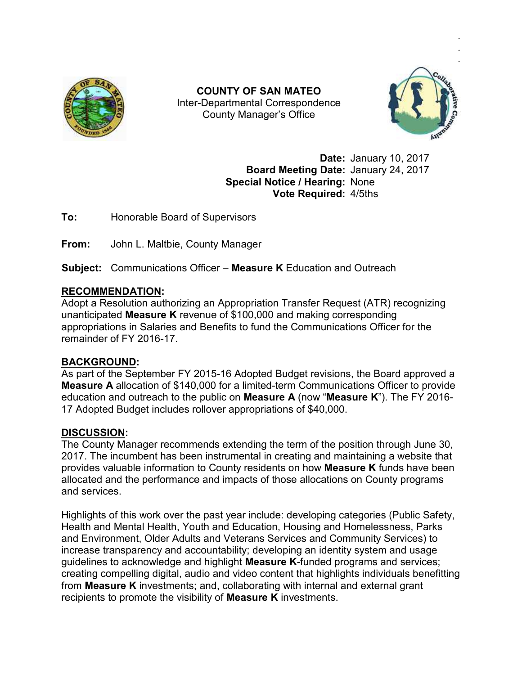

Inter Inter-Departmental Correspondence **COUNTY OF SAN MATEO**  County Manager's Office



.

**Date:** January 10, 2017 **Board Meeting Date: January 24, 2017 Special Notice / Hearing:** None **Vote Required:** 4/5ths

**To:** Honorable Board of Supervisors

**From:** John L. Maltbie, County Manager

**To:** Honorable Board of Supervisors<br>**From:** John L. Maltbie, County Manager<br>**Subject:** Communications Officer – **Measure K** Education and Outreach

## **RECOMMENDATION:**

**Subject:** Communications Officer – **Measure K** Education and Outreach<br><u>RECOMMENDATION</u>:<br>Adopt a Resolution authorizing an Appropriation Transfer Request (ATR) recognizing unanticipated **Measure K** revenue of \$100,000 and making corresponding appropriations in Salaries and Benefits to fund the Communications Officer for the remainder of FY 2016-17.

## **BACKGROUND:**

As part of the September FY 2015-16 Adopted Budget revisions, the Board approved a **Measure A** allocation of \$140,000 for a limited-term Communications Officer to provide As part of the September FY 2015-16 Adopted Budget revisions, the Board approved a<br>**Measure A** allocation of \$140,000 for a limited-term Communications Officer to provide<br>education and outreach to the public on **Measure A** 17 Adopted Budget includes rollover appropriations of \$40,000.

## **DISCUSSION:**

The County Manager recommends extending the term of the position through June 30, The County Manager recommends extending the term of the position through June 30,<br>2017. The incumbent has been instrumental in creating and maintaining a website that provides valuable information to County residents on how **Measure K** funds have been have been allocated and the performance and impacts of those allocations on County programs and services.

Highlights of this work over the past year include: developing categories (Public Safety, Health and Mental Health, Youth and Education, Housing and Homelessness, Parks and Environment, Older Adults and Veterans Services and Community Services) to and Environment, Older Adults and Veterans Services and Community Services) to<br>increase transparency and accountability; developing an identity system and usage guidelines to acknowledge and highlight **Measure K**-funded programs and services; creating compelling digital, audio and video content that highlights individuals benefitting from **Measure K** investments; and, collaborating with internal and external grant from **Measure K** investments; and, collaborating with internal<br>recipients to promote the visibility of **Measure K** investments. allocated and the performance and impacts of those allocations on County programs<br>and services.<br>Highlights of this work over the past year include: developing categories (Public Safet<br>Health and Mental Health, Youth and Ed